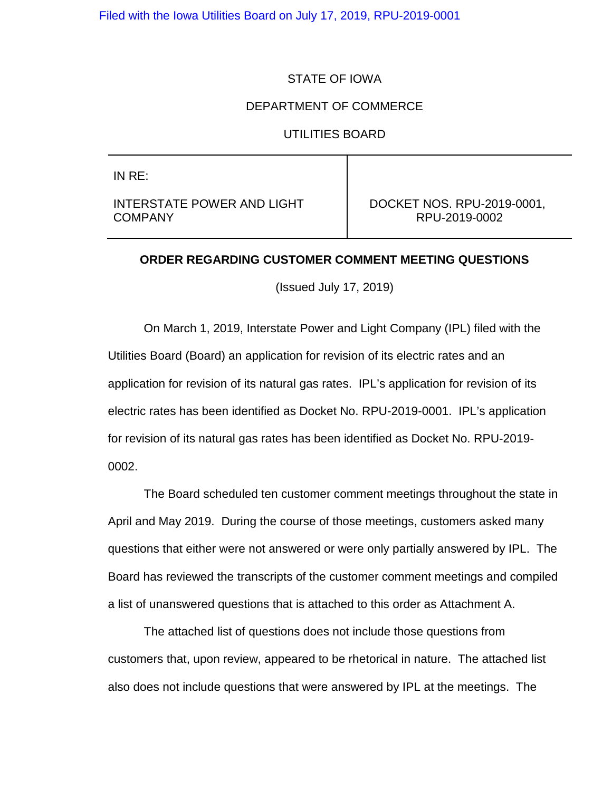Filed with the Iowa Utilities Board on July 17, 2019, RPU-2019-0001

### STATE OF IOWA

### DEPARTMENT OF COMMERCE

#### UTILITIES BOARD

IN RE:

INTERSTATE POWER AND LIGHT COMPANY

DOCKET NOS. RPU-2019-0001, RPU-2019-0002

### **ORDER REGARDING CUSTOMER COMMENT MEETING QUESTIONS**

(Issued July 17, 2019)

On March 1, 2019, Interstate Power and Light Company (IPL) filed with the Utilities Board (Board) an application for revision of its electric rates and an application for revision of its natural gas rates. IPL's application for revision of its electric rates has been identified as Docket No. RPU-2019-0001. IPL's application for revision of its natural gas rates has been identified as Docket No. RPU-2019- 0002.

The Board scheduled ten customer comment meetings throughout the state in April and May 2019. During the course of those meetings, customers asked many questions that either were not answered or were only partially answered by IPL. The Board has reviewed the transcripts of the customer comment meetings and compiled a list of unanswered questions that is attached to this order as Attachment A.

The attached list of questions does not include those questions from customers that, upon review, appeared to be rhetorical in nature. The attached list also does not include questions that were answered by IPL at the meetings. The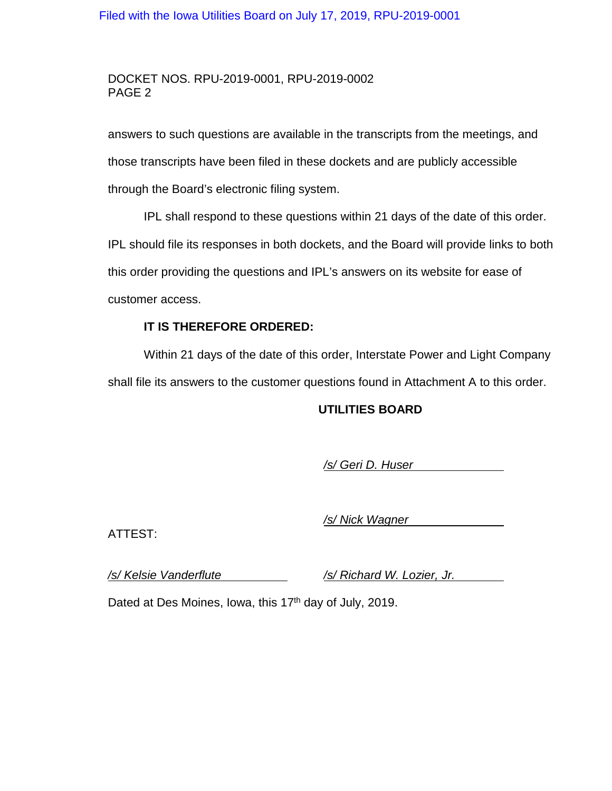## Filed with the Iowa Utilities Board on July 17, 2019, RPU-2019-0001

## DOCKET NOS. RPU-2019-0001, RPU-2019-0002 PAGE 2

answers to such questions are available in the transcripts from the meetings, and those transcripts have been filed in these dockets and are publicly accessible through the Board's electronic filing system.

IPL shall respond to these questions within 21 days of the date of this order. IPL should file its responses in both dockets, and the Board will provide links to both this order providing the questions and IPL's answers on its website for ease of customer access.

### **IT IS THEREFORE ORDERED:**

Within 21 days of the date of this order, Interstate Power and Light Company shall file its answers to the customer questions found in Attachment A to this order.

## **UTILITIES BOARD**

*/s/ Geri D. Huser*

ATTEST:

*/s/ Nick Wagner*

*/s/ Kelsie Vanderflute /s/ Richard W. Lozier, Jr.*

Dated at Des Moines, Iowa, this  $17<sup>th</sup>$  day of July, 2019.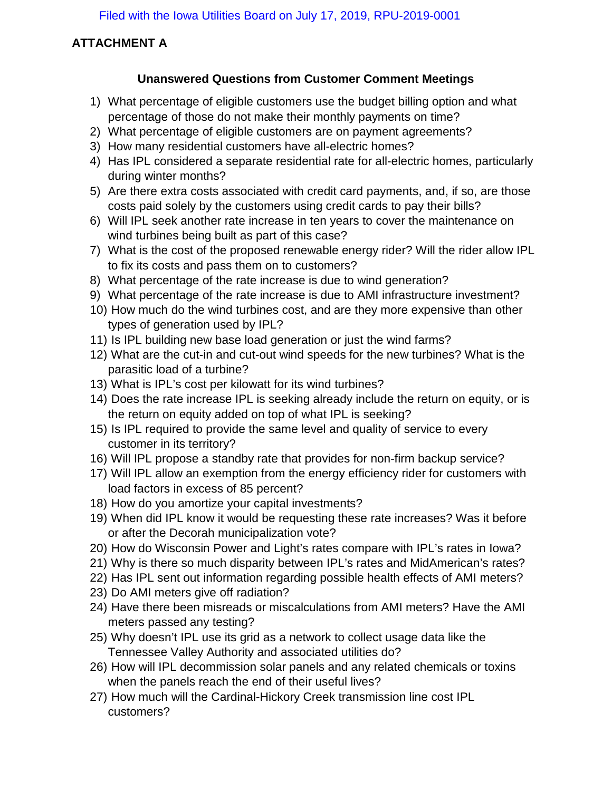# **ATTACHMENT A**

# **Unanswered Questions from Customer Comment Meetings**

- 1) What percentage of eligible customers use the budget billing option and what percentage of those do not make their monthly payments on time?
- 2) What percentage of eligible customers are on payment agreements?
- 3) How many residential customers have all-electric homes?
- 4) Has IPL considered a separate residential rate for all-electric homes, particularly during winter months?
- 5) Are there extra costs associated with credit card payments, and, if so, are those costs paid solely by the customers using credit cards to pay their bills?
- 6) Will IPL seek another rate increase in ten years to cover the maintenance on wind turbines being built as part of this case?
- 7) What is the cost of the proposed renewable energy rider? Will the rider allow IPL to fix its costs and pass them on to customers?
- 8) What percentage of the rate increase is due to wind generation?
- 9) What percentage of the rate increase is due to AMI infrastructure investment?
- 10) How much do the wind turbines cost, and are they more expensive than other types of generation used by IPL?
- 11) Is IPL building new base load generation or just the wind farms?
- 12) What are the cut-in and cut-out wind speeds for the new turbines? What is the parasitic load of a turbine?
- 13) What is IPL's cost per kilowatt for its wind turbines?
- 14) Does the rate increase IPL is seeking already include the return on equity, or is the return on equity added on top of what IPL is seeking?
- 15) Is IPL required to provide the same level and quality of service to every customer in its territory?
- 16) Will IPL propose a standby rate that provides for non-firm backup service?
- 17) Will IPL allow an exemption from the energy efficiency rider for customers with load factors in excess of 85 percent?
- 18) How do you amortize your capital investments?
- 19) When did IPL know it would be requesting these rate increases? Was it before or after the Decorah municipalization vote?
- 20) How do Wisconsin Power and Light's rates compare with IPL's rates in Iowa?
- 21) Why is there so much disparity between IPL's rates and MidAmerican's rates?
- 22) Has IPL sent out information regarding possible health effects of AMI meters?
- 23) Do AMI meters give off radiation?
- 24) Have there been misreads or miscalculations from AMI meters? Have the AMI meters passed any testing?
- 25) Why doesn't IPL use its grid as a network to collect usage data like the Tennessee Valley Authority and associated utilities do?
- 26) How will IPL decommission solar panels and any related chemicals or toxins when the panels reach the end of their useful lives?
- 27) How much will the Cardinal-Hickory Creek transmission line cost IPL customers?